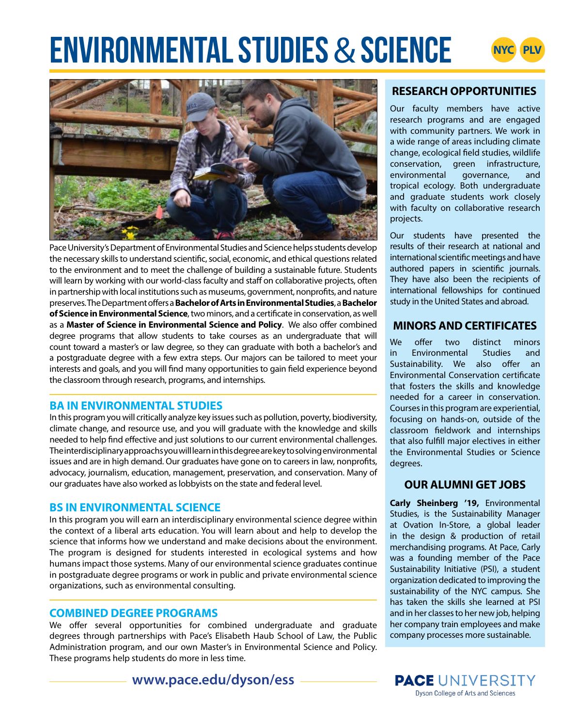# **PLACING ENVIRONMENTAL STUDIES & SCIENCE**





Pace University's Department of Environmental Studies and Science helps students develop the necessary skills to understand scientific, social, economic, and ethical questions related to the environment and to meet the challenge of building a sustainable future. Students will learn by working with our world-class faculty and staff on collaborative projects, often in partnership with local institutions such as museums, government, nonprofits, and nature preserves.The Department offers a **Bachelor of Arts in Environmental Studies**, a **Bachelor of Science in Environmental Science**, two minors, and a certificate in conservation, as well as a **Master of Science in Environmental Science and Policy**. We also offer combined degree programs that allow students to take courses as an undergraduate that will count toward a master's or law degree, so they can graduate with both a bachelor's and a postgraduate degree with a few extra steps. Our majors can be tailored to meet your interests and goals, and you will find many opportunities to gain field experience beyond the classroom through research, programs, and internships.

# **BA IN ENVIRONMENTAL STUDIES**

In this program you will critically analyze key issues such as pollution, poverty, biodiversity, climate change, and resource use, and you will graduate with the knowledge and skills needed to help find effective and just solutions to our current environmental challenges. The interdisciplinary approachs you will learn in this degree are key to solving environmental issues and are in high demand. Our graduates have gone on to careers in law, nonprofits, advocacy, journalism, education, management, preservation, and conservation. Many of our graduates have also worked as lobbyists on the state and federal level.

## **BS IN ENVIRONMENTAL SCIENCE**

In this program you will earn an interdisciplinary environmental science degree within the context of a liberal arts education. You will learn about and help to develop the science that informs how we understand and make decisions about the environment. The program is designed for students interested in ecological systems and how humans impact those systems. Many of our environmental science graduates continue in postgraduate degree programs or work in public and private environmental science organizations, such as environmental consulting.

## **COMBINED DEGREE PROGRAMS**

We offer several opportunities for combined undergraduate and graduate degrees through partnerships with Pace's Elisabeth Haub School of Law, the Public Administration program, and our own Master's in Environmental Science and Policy. These programs help students do more in less time.

**www.pace.edu/dyson/ess**

# **RESEARCH OPPORTUNITIES**

Our faculty members have active research programs and are engaged with community partners. We work in a wide range of areas including climate change, ecological field studies, wildlife conservation, green infrastructure, environmental governance, and tropical ecology. Both undergraduate and graduate students work closely with faculty on collaborative research projects.

Our students have presented the results of their research at national and international scientific meetings and have authored papers in scientific journals. They have also been the recipients of international fellowships for continued study in the United States and abroad.

# **MINORS AND CERTIFICATES**

We offer two distinct minors in Environmental Studies and Sustainability. We also offer an Environmental Conservation certificate that fosters the skills and knowledge needed for a career in conservation. Courses in this program are experiential, focusing on hands-on, outside of the classroom fieldwork and internships that also fulfill major electives in either the Environmental Studies or Science degrees.

# **OUR ALUMNI GET JOBS**

**Carly Sheinberg '19,** Environmental Studies, is the Sustainability Manager at Ovation In-Store, a global leader in the design & production of retail merchandising programs. At Pace, Carly was a founding member of the Pace Sustainability Initiative (PSI), a student organization dedicated to improving the sustainability of the NYC campus. She has taken the skills she learned at PSI and in her classes to her new job, helping her company train employees and make company processes more sustainable.